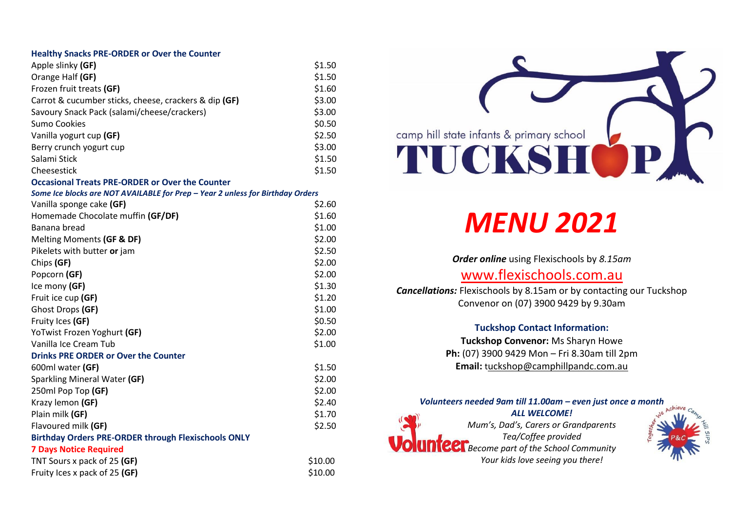#### **Healthy Snacks PRE-ORDER or Over the Counter**

| Apple slinky (GF)                                     | \$1.50 |
|-------------------------------------------------------|--------|
| Orange Half (GF)                                      | \$1.50 |
| Frozen fruit treats (GF)                              | \$1.60 |
| Carrot & cucumber sticks, cheese, crackers & dip (GF) | \$3.00 |
| Savoury Snack Pack (salami/cheese/crackers)           | \$3.00 |
| Sumo Cookies                                          | \$0.50 |
| Vanilla yogurt cup (GF)                               | \$2.50 |
| Berry crunch yogurt cup                               | \$3.00 |
| Salami Stick                                          | \$1.50 |
| Cheesestick                                           | \$1.50 |
|                                                       |        |

#### **Occasional Treats PRE-ORDER or Over the Counter**

*Some Ice blocks are NOT AVAILABLE for Prep – Year 2 unless for Birthday Orders*

| Vanilla sponge cake (GF)                                   | \$2.60  |
|------------------------------------------------------------|---------|
| Homemade Chocolate muffin (GF/DF)                          | \$1.60  |
| Banana bread                                               | \$1.00  |
| Melting Moments (GF & DF)                                  | \$2.00  |
| Pikelets with butter or jam                                | \$2.50  |
| Chips (GF)                                                 | \$2.00  |
| Popcorn (GF)                                               | \$2.00  |
| Ice mony (GF)                                              | \$1.30  |
| Fruit ice cup (GF)                                         | \$1.20  |
| Ghost Drops (GF)                                           | \$1.00  |
| Fruity Ices (GF)                                           | \$0.50  |
| YoTwist Frozen Yoghurt (GF)                                | \$2.00  |
| Vanilla Ice Cream Tub                                      | \$1.00  |
| <b>Drinks PRE ORDER or Over the Counter</b>                |         |
| 600ml water (GF)                                           | \$1.50  |
| Sparkling Mineral Water (GF)                               | \$2.00  |
| 250ml Pop Top (GF)                                         | \$2.00  |
| Krazy lemon (GF)                                           | \$2.40  |
| Plain milk (GF)                                            | \$1.70  |
| Flavoured milk (GF)                                        | \$2.50  |
| <b>Birthday Orders PRE-ORDER through Flexischools ONLY</b> |         |
| <b>7 Days Notice Required</b>                              |         |
| TNT Sours x pack of 25 (GF)                                | \$10.00 |
| Fruity Ices x pack of 25 (GF)                              | \$10.00 |

# camp hill state infants & primary school TUCKS

## *MENU 2021*

*Order online* using Flexischools by *8.15am*

### [www.flexischools.com.au](http://www.flexischools.com.au/)

*Cancellations:* Flexischools by 8.15am or by contacting our Tuckshop Convenor on (07) 3900 9429 by 9.30am

#### **Tuckshop Contact Information:**

**Tuckshop Convenor:** Ms Sharyn Howe **Ph:** (07) 3900 9429 Mon – Fri 8.30am till 2pm **Email:** t[uckshop@camphillpandc.com.au](mailto:Tuckshop@camphillpandc.com.au)